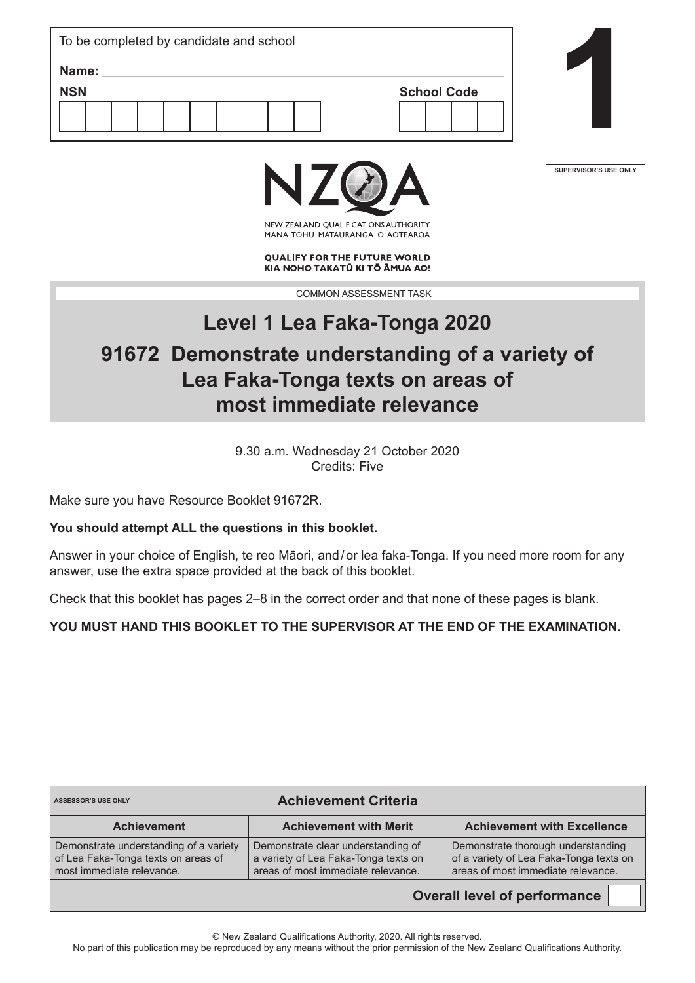| To be completed by candidate and school   |  |
|-------------------------------------------|--|
| Name:<br><b>NSN</b><br><b>School Code</b> |  |
|                                           |  |





NEW ZEALAND OUALIFICATIONS AUTHORITY MANA TOHU MATAURANGA O AOTEAROA

**QUALIFY FOR THE FUTURE WORLD** KIA NOHO TAKATŪ KI TŌ ĀMUA AO!

COMMON ASSESSMENT TASK

# **Level 1 Lea Faka-Tonga 2020 91672 Demonstrate understanding of a variety of Lea Faka-Tonga texts on areas of most immediate relevance**

9.30 a.m. Wednesday 21 October 2020 Credits: Five

Make sure you have Resource Booklet 91672R.

## **You should attempt ALL the questions in this booklet.**

Answer in your choice of English, te reo Māori, and/or lea faka-Tonga. If you need more room for any answer, use the extra space provided at the back of this booklet.

Check that this booklet has pages 2–8 in the correct order and that none of these pages is blank.

# **YOU MUST HAND THIS BOOKLET TO THE SUPERVISOR AT THE END OF THE EXAMINATION.**

| <b>ASSESSOR'S USE ONLY</b>                                                                                 | <b>Achievement Criteria</b>                                                                                      |                                                                                                                     |
|------------------------------------------------------------------------------------------------------------|------------------------------------------------------------------------------------------------------------------|---------------------------------------------------------------------------------------------------------------------|
| <b>Achievement</b>                                                                                         | <b>Achievement with Merit</b>                                                                                    | <b>Achievement with Excellence</b>                                                                                  |
| Demonstrate understanding of a variety<br>of Lea Faka-Tonga texts on areas of<br>most immediate relevance. | Demonstrate clear understanding of<br>a variety of Lea Faka-Tonga texts on<br>areas of most immediate relevance. | Demonstrate thorough understanding<br>of a variety of Lea Faka-Tonga texts on<br>areas of most immediate relevance. |

# **Overall level of performance**

© New Zealand Qualifications Authority, 2020. All rights reserved.

No part of this publication may be reproduced by any means without the prior permission of the New Zealand Qualifications Authority.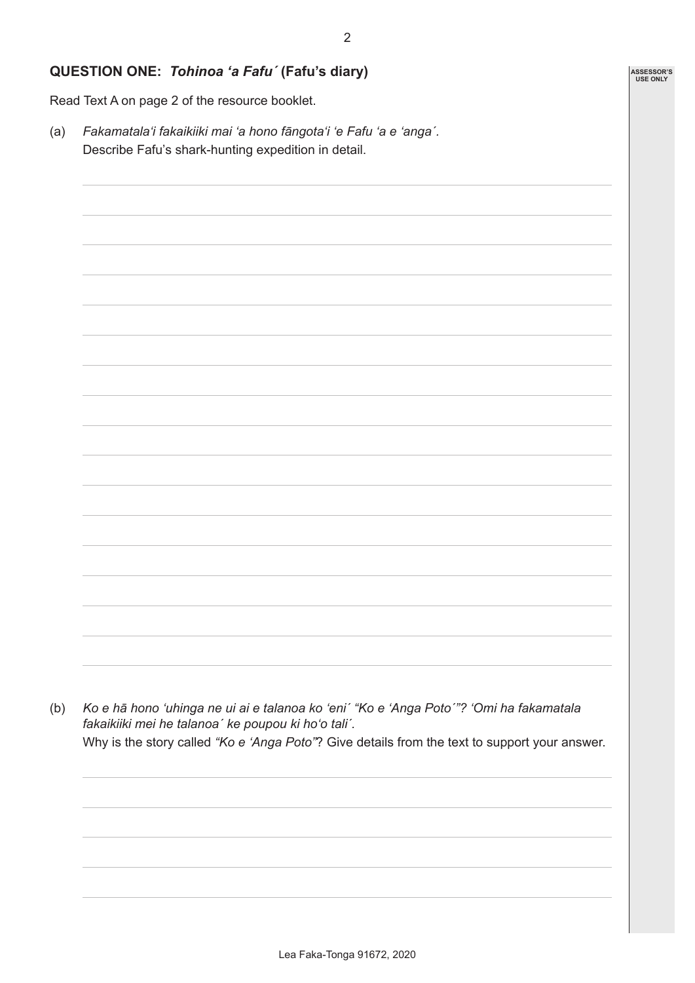#### **QUESTION ONE:** *Tohinoa 'a Fafuˊ* **(Fafu's diary)**

Read Text A on page 2 of the resource booklet.

(a) *Fakamatalaʻi fakaikiiki mai ʻa hono fāngotaʻi ʻe Fafu ʻa e ʻangaˊ.* Describe Fafu's shark-hunting expedition in detail.

(b) Ko e hā hono 'uhinga ne ui ai e talanoa ko 'eni' "Ko e 'Anga Poto'"? 'Omi ha fakamatala *fakaikiiki mei he talanoaˊ ke poupou ki hoʻo taliˊ.* Why is the story called *"Ko e ʻAnga Poto"*? Give details from the text to support your answer.

| ASSESSOR'S      |
|-----------------|
| <b>USE ONLY</b> |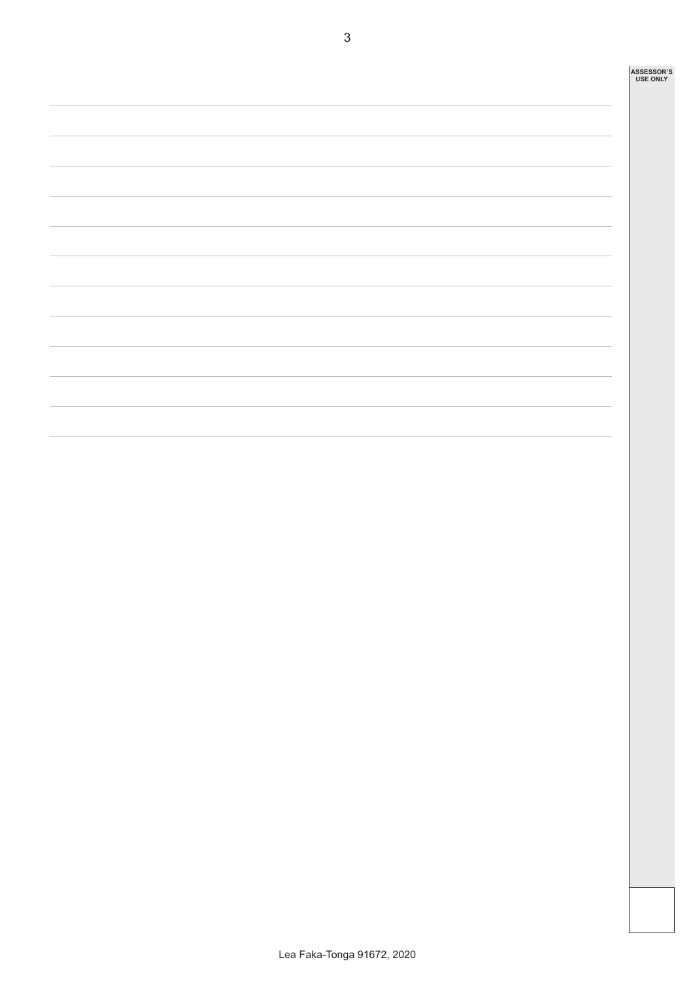3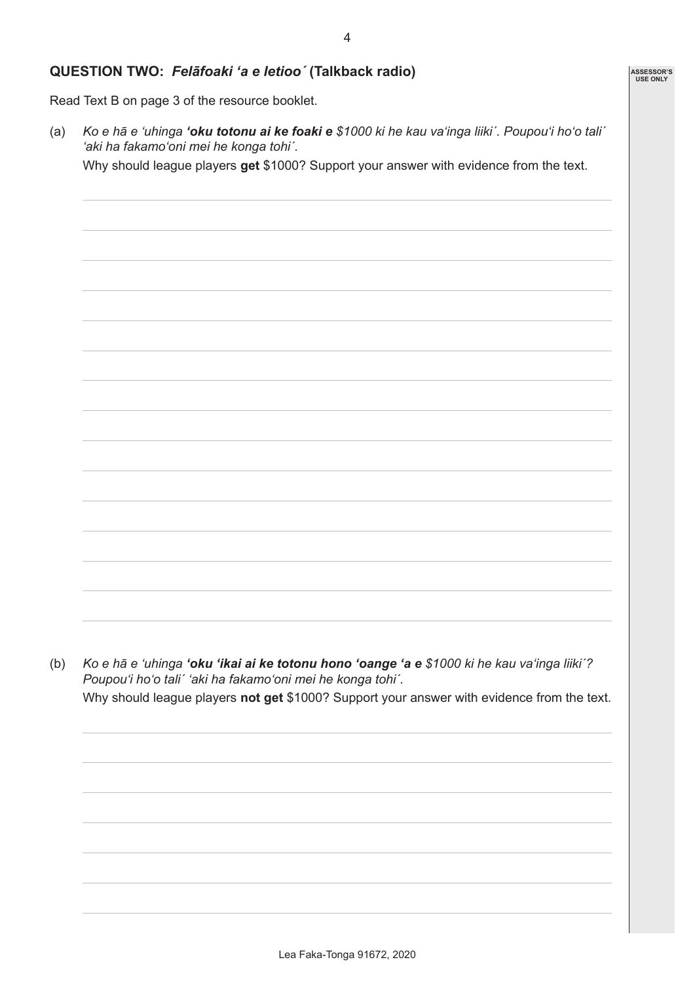#### **QUESTION TWO:** *Felāfoaki 'a e letiooˊ* **(Talkback radio)**

Read Text B on page 3 of the resource booklet.

(a) *Ko e hā e ʻuhinga ʻoku totonu ai ke foaki e \$1000 ki he kau vaʻinga liikiˊ. Poupouʻi hoʻo taliˊ ʻaki ha fakamoʻoni mei he konga tohiˊ.* Why should league players **get** \$1000? Support your answer with evidence from the text.

(b) *Ko e hā e ʻuhinga ʻoku ʻikai ai ke totonu hono ʻoange ʻa e \$1000 ki he kau vaʻinga liikiˊ? Poupouʻi hoʻo taliˊ ʻaki ha fakamoʻoni mei he konga tohiˊ.* Why should league players **not get** \$1000? Support your answer with evidence from the text.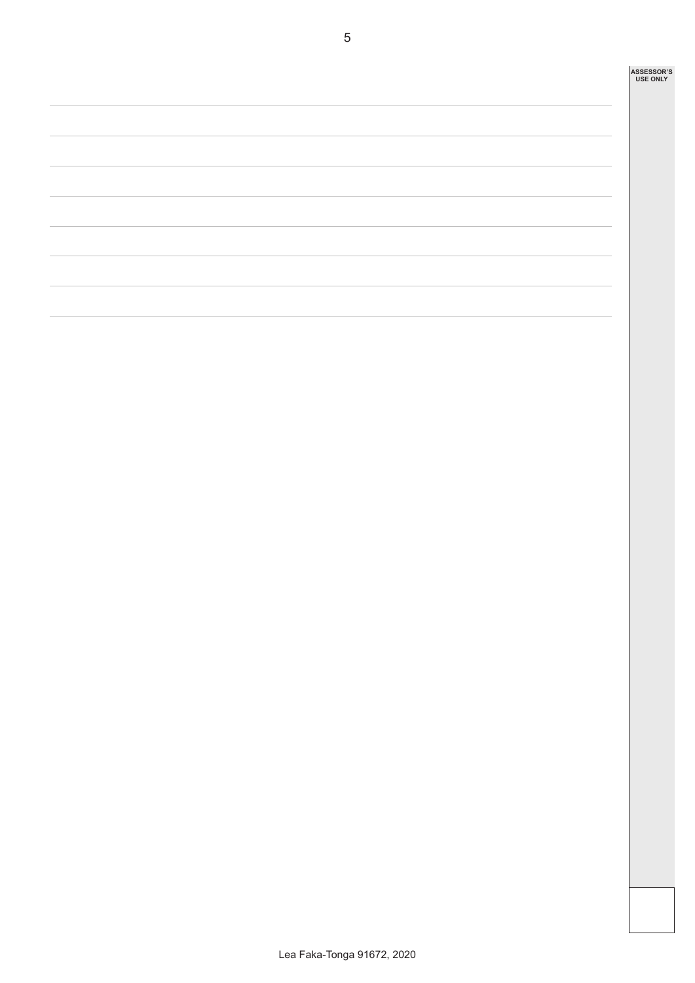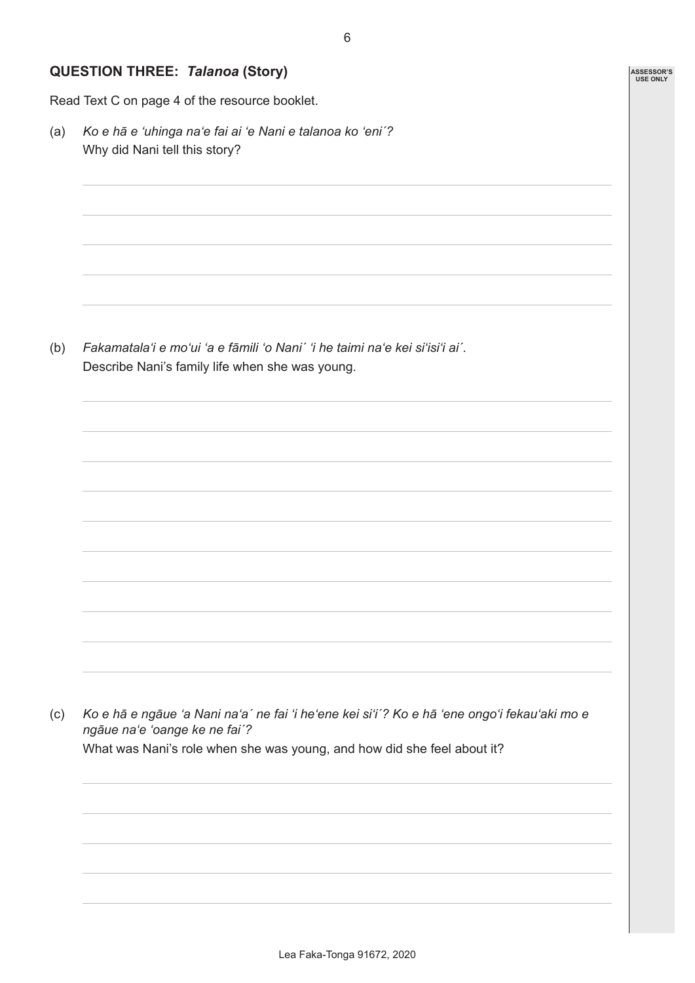**ASSESSOR'S USE ONLY**

## **QUESTION THREE:** *Talanoa* **(Story)**

Read Text C on page 4 of the resource booklet.

(a) *Ko e hā e ʻuhinga naʻe fai ai ʻe Nani e talanoa ko ʻeniˊ?* Why did Nani tell this story?

(b) *Fakamatalaʻi e moʻui ʻa e fāmili ʻo Naniˊ ʻi he taimi naʻe kei siʻisiʻi aiˊ.* Describe Nani's family life when she was young.

(c) Ko e hā e ngāue 'a Nani na'a' ne fai 'i he'ene kei si'i'? Ko e hā 'ene ongo'i fekau'aki mo e *ngāue naʻe 'oange ke ne faiˊ?* What was Nani's role when she was young, and how did she feel about it?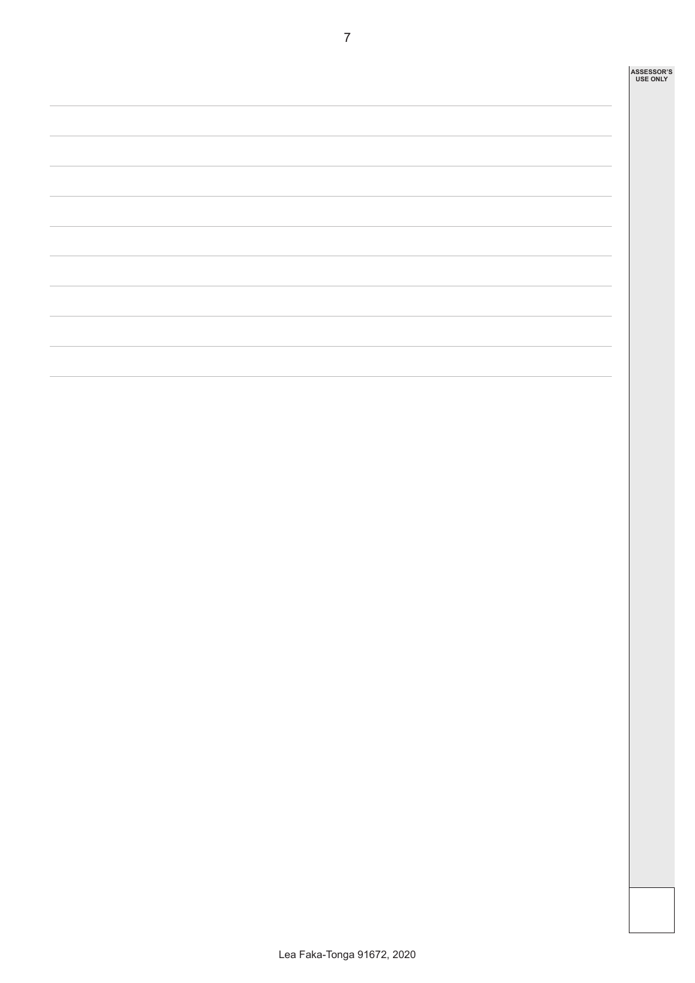7